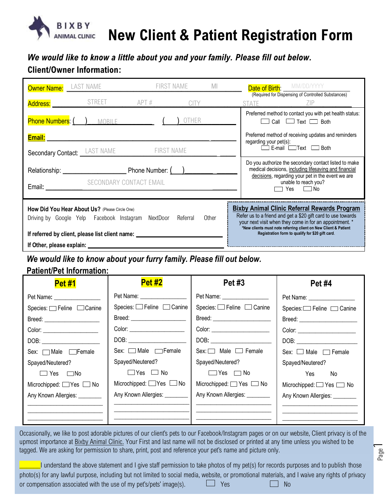

## **New Client & Patient Registration Form**

*We would like to know a little about you and your family. Please fill out below.* **Client/Owner Information:**

| Owner Name: LAST NAME                                                                                                                                                                                                                                                                                                                                                       | FIRST NAME                                                | MI                          | <b>Date of Birth: MM/DD/YYYY</b><br>(Required for Dispensing of Controlled Substances)                                                                                                                 |  |  |
|-----------------------------------------------------------------------------------------------------------------------------------------------------------------------------------------------------------------------------------------------------------------------------------------------------------------------------------------------------------------------------|-----------------------------------------------------------|-----------------------------|--------------------------------------------------------------------------------------------------------------------------------------------------------------------------------------------------------|--|--|
| Address: STREET APT #                                                                                                                                                                                                                                                                                                                                                       |                                                           | <b>CITY</b><br><b>STATE</b> | ZIP                                                                                                                                                                                                    |  |  |
| Phone Numbers: ( ) MOBILE                                                                                                                                                                                                                                                                                                                                                   |                                                           | OTHER                       | Preferred method to contact you with pet health status:<br>Call $\Box$ Text $\Box$ Both                                                                                                                |  |  |
| Email: <u>Alexander Alexander Alexander Alexander Alexander Alexander Alexander Alexander Alexander Alexander Alex</u>                                                                                                                                                                                                                                                      |                                                           | regarding your pet(s):      | Preferred method of receiving updates and reminders                                                                                                                                                    |  |  |
| <b>Secondary Contact:</b> LAST NAME                                                                                                                                                                                                                                                                                                                                         | FIRST NAME                                                |                             | E-mail $\Box$ Text $\Box$<br>Both                                                                                                                                                                      |  |  |
|                                                                                                                                                                                                                                                                                                                                                                             | SECONDARY CONTACT EMAIL<br>Email: SECONDARY CONTACT EMAIL |                             | Do you authorize the secondary contact listed to make<br>medical decisions, including lifesaving and financial<br>decisions, regarding your pet in the event we are<br>unable to reach you?<br>Yes □No |  |  |
| <b>Bixby Animal Clinic Referral Rewards Program</b><br>How Did You Hear About Us? (Please Circle One)<br>Refer us to a friend and get a \$20 gift card to use towards<br>Driving by Google Yelp Facebook Instagram NextDoor Referral<br>Other<br>your next visit when they come in for an appointment. *<br>*New clients must note referring client on New Client & Patient |                                                           |                             |                                                                                                                                                                                                        |  |  |
| Registration form to qualify for \$20 gift card.<br>If referred by client, please list client name: ________________________________                                                                                                                                                                                                                                        |                                                           |                             |                                                                                                                                                                                                        |  |  |
|                                                                                                                                                                                                                                                                                                                                                                             |                                                           |                             |                                                                                                                                                                                                        |  |  |
| We would like to know about your furry family. Please fill out below.                                                                                                                                                                                                                                                                                                       |                                                           |                             |                                                                                                                                                                                                        |  |  |
| <b>Patient/Pet Information:</b>                                                                                                                                                                                                                                                                                                                                             |                                                           |                             |                                                                                                                                                                                                        |  |  |
| <b>Pet #1</b>                                                                                                                                                                                                                                                                                                                                                               | <b>Pet #2</b>                                             | <b>Pet #3</b>               | <b>Pet #4</b>                                                                                                                                                                                          |  |  |

| <u>гсь # і</u>                        | <u>.</u>                             | $\blacksquare$ vit $\pi$ v           | しんしゅう アセルス けいしゃ                  |
|---------------------------------------|--------------------------------------|--------------------------------------|----------------------------------|
|                                       | Pet Name: ___________________        | Pet Name: __________________         | Pet Name: __________________     |
| Species: <sub>□</sub> Feline □ Canine | Species: $\Box$ Feline $\Box$ Canine | Species: $\Box$ Feline $\Box$ Canine | Species: Feline □ Canine         |
|                                       | Breed: ______________________        |                                      |                                  |
| Color: ________________________       | Color: ________________________      |                                      | Color: _________________________ |
|                                       |                                      |                                      |                                  |
| Sex: Male Female                      | Sex: $\Box$ Male $\Box$ Female       | $Sex: \Box$ Male $\Box$ Female       | Sex: $\Box$ Male $\Box$ Female   |
| Spayed/Neutered?                      | Spayed/Neutered?                     | Spayed/Neutered?                     | Spayed/Neutered?                 |
| $\square$ Yes $\square$ No            | $\Box$ Yes $\Box$ No                 | $\Box$ Yes $\Box$ No                 | No<br>Yes                        |
| Microchipped: $\Box$ Yes $\Box$ No    | Microchipped: $\Box$ Yes $\Box$ No   | Microchipped: Yes Mo                 | Microchipped: Ves and No         |
| Any Known Allergies: ________         | Any Known Allergies: ________        | Any Known Allergies: ________        | Any Known Allergies: ________    |
|                                       |                                      |                                      |                                  |
|                                       |                                      |                                      |                                  |
|                                       |                                      |                                      |                                  |

Occasionally, we like to post adorable pictures of our client's pets to our Facebook/Instagram pages or on our website, Client privacy is of the upmost importance at Bixby Animal Clinic. Your First and last name will not be disclosed or printed at any time unless you wished to be tagged. We are asking for permission to share, print, post and reference your pet's name and picture only.

I understand the above statement and I give staff permission to take photos of my pet(s) for records purposes and to publish those photo(s) for any lawful purpose, including but not limited to social media, website, or promotional materials, and I waive any rights of privacy or compensation associated with the use of my pet's/pets' image(s).  $\Box$  Yes  $\Box$  No